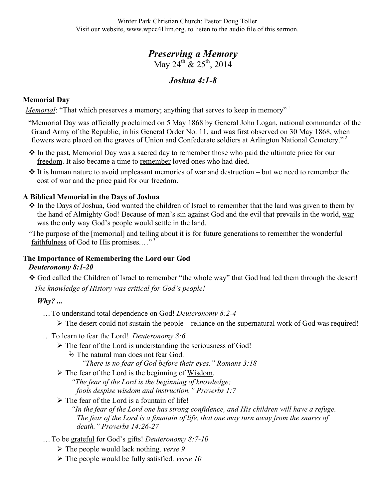# *Preserving a Memory*  May 24<sup>th</sup>  $\&$  25<sup>th</sup>, 2014

## *Joshua 4:1-8*

### **Memorial Day**

*Memorial*: "That which preserves a memory; anything that serves to keep in memory"<sup>1</sup>

"Memorial Day was officially proclaimed on 5 May 1868 by General John Logan, national commander of the Grand Army of the Republic, in his General Order No. 11, and was first observed on 30 May 1868, when flowers were placed on the graves of Union and Confederate soldiers at Arlington National Cemetery."<sup>2</sup>

- $\cdot$  In the past, Memorial Day was a sacred day to remember those who paid the ultimate price for our freedom. It also became a time to remember loved ones who had died.
- $\cdot$  It is human nature to avoid unpleasant memories of war and destruction but we need to remember the cost of war and the price paid for our freedom.

#### **A Biblical Memorial in the Days of Joshua**

• In the Days of Joshua, God wanted the children of Israel to remember that the land was given to them by the hand of Almighty God! Because of man's sin against God and the evil that prevails in the world, war was the only way God's people would settle in the land.

"The purpose of the [memorial] and telling about it is for future generations to remember the wonderful faithfulness of God to His promises...."<sup>3</sup>

#### **The Importance of Remembering the Lord our God** *Deuteronomy 8:1-20*

God called the Children of Israel to remember "the whole way" that God had led them through the desert!

*The knowledge of History was critical for God's people!*

#### *Why? ...*

…To understand total dependence on God! *Deuteronomy 8:2-4*

 $\triangleright$  The desert could not sustain the people – reliance on the supernatural work of God was required!

- …To learn to fear the Lord! *Deuteronomy 8:6*
	- $\triangleright$  The fear of the Lord is understanding the seriousness of God!
		- $\%$  The natural man does not fear God.

*"There is no fear of God before their eyes." Romans 3:18*

- $\triangleright$  The fear of the Lord is the beginning of Wisdom.
	- *"The fear of the Lord is the beginning of knowledge;*

*fools despise wisdom and instruction." Proverbs 1:7*

 $\triangleright$  The fear of the Lord is a fountain of life!

*"In the fear of the Lord one has strong confidence, and His children will have a refuge. The fear of the Lord is a fountain of life, that one may turn away from the snares of death." Proverbs 14:26-27*

- …To be grateful for God's gifts! *Deuteronomy 8:7-10*
	- The people would lack nothing. *verse 9*
	- The people would be fully satisfied. *verse 10*